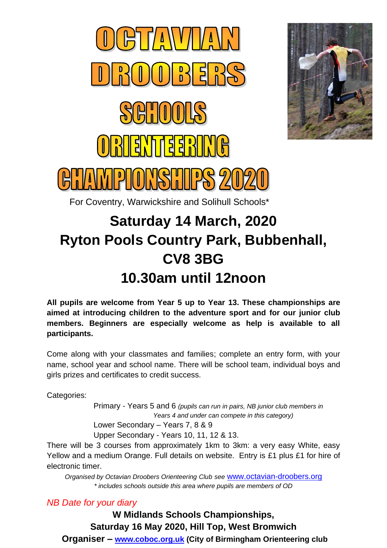



For Coventry, Warwickshire and Solihull Schools\*

# **Saturday 14 March, 2020 Ryton Pools Country Park, Bubbenhall, CV8 3BG 10.30am until 12noon**

**All pupils are welcome from Year 5 up to Year 13. These championships are aimed at introducing children to the adventure sport and for our junior club members. Beginners are especially welcome as help is available to all participants.**

Come along with your classmates and families; complete an entry form, with your name, school year and school name. There will be school team, individual boys and girls prizes and certificates to credit success.

Categories:

Primary - Years 5 and 6 *(pupils can run in pairs, NB junior club members in Years 4 and under can compete in this category)*

Lower Secondary – Years 7, 8 & 9

Upper Secondary - Years 10, 11, 12 & 13.

There will be 3 courses from approximately 1km to 3km: a very easy White, easy Yellow and a medium Orange. Full details on website. Entry is £1 plus £1 for hire of electronic timer.

*Organised by Octavian Droobers Orienteering Club see* [www.octavian-droobers.org](http://www.octavian-droobers.org/) *\* includes schools outside this area where pupils are members of OD*

*NB Date for your diary*

**W Midlands Schools Championships, Saturday 16 May 2020, Hill Top, West Bromwich Organiser – [www.coboc.org.uk](http://www.coboc.org.uk/) (City of Birmingham Orienteering club**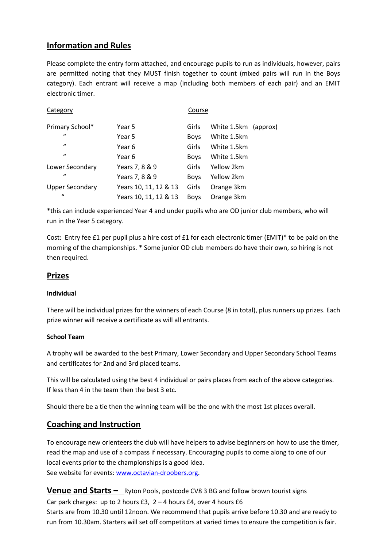## **Information and Rules**

Please complete the entry form attached, and encourage pupils to run as individuals, however, pairs are permitted noting that they MUST finish together to count (mixed pairs will run in the Boys category). Each entrant will receive a map (including both members of each pair) and an EMIT electronic timer.

| Category               |                       |             | Course               |  |  |  |
|------------------------|-----------------------|-------------|----------------------|--|--|--|
| Primary School*        | Year 5                | Girls       | White 1.5km (approx) |  |  |  |
| $\mathbf{u}$           | Year 5                | <b>Boys</b> | White 1.5km          |  |  |  |
| $\mathbf{u}$           | Year 6                | Girls       | White 1.5km          |  |  |  |
| $\mathcal{U}$          | Year 6                | <b>Boys</b> | White 1.5km          |  |  |  |
| Lower Secondary        | Years 7, 8 & 9        | Girls       | Yellow 2km           |  |  |  |
| $\mathbf{u}$           | Years 7, 8 & 9        | <b>Boys</b> | Yellow 2km           |  |  |  |
| <b>Upper Secondary</b> | Years 10, 11, 12 & 13 | Girls       | Orange 3km           |  |  |  |
| $\mathcal{U}$          | Years 10, 11, 12 & 13 | <b>Boys</b> | Orange 3km           |  |  |  |

\*this can include experienced Year 4 and under pupils who are OD junior club members, who will run in the Year 5 category.

Cost: Entry fee £1 per pupil plus a hire cost of £1 for each electronic timer (EMIT)\* to be paid on the morning of the championships. \* Some junior OD club members do have their own, so hiring is not then required.

## **Prizes**

#### **Individual**

There will be individual prizes for the winners of each Course (8 in total), plus runners up prizes. Each prize winner will receive a certificate as will all entrants.

#### **School Team**

A trophy will be awarded to the best Primary, Lower Secondary and Upper Secondary School Teams and certificates for 2nd and 3rd placed teams.

This will be calculated using the best 4 individual or pairs places from each of the above categories. If less than 4 in the team then the best 3 etc.

Should there be a tie then the winning team will be the one with the most 1st places overall.

## **Coaching and Instruction**

To encourage new orienteers the club will have helpers to advise beginners on how to use the timer, read the map and use of a compass if necessary. Encouraging pupils to come along to one of our local events prior to the championships is a good idea. See website for events[: www.octavian-droobers.org.](http://www.octavian-droobers.org/)

**Venue and Starts –** Ryton Pools, postcode CV8 3 BG and follow brown tourist signs Car park charges: up to 2 hours  $£3$ ,  $2 - 4$  hours  $£4$ , over 4 hours  $£6$ Starts are from 10.30 until 12noon. We recommend that pupils arrive before 10.30 and are ready to run from 10.30am. Starters will set off competitors at varied times to ensure the competition is fair.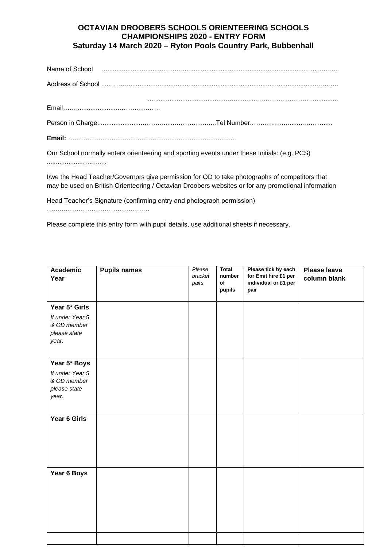## **OCTAVIAN DROOBERS SCHOOLS ORIENTEERING SCHOOLS CHAMPIONSHIPS 2020 - ENTRY FORM Saturday 14 March 2020 – Ryton Pools Country Park, Bubbenhall**

| Name of School Processes and Contract and Contract and Contract and Contract and Contract and Contract and Contract and Contract and Contract and Contract and Contract and Contract and Contract and Contract and Contract an |
|--------------------------------------------------------------------------------------------------------------------------------------------------------------------------------------------------------------------------------|
|                                                                                                                                                                                                                                |
|                                                                                                                                                                                                                                |
|                                                                                                                                                                                                                                |
|                                                                                                                                                                                                                                |
|                                                                                                                                                                                                                                |

Our School normally enters orienteering and sporting events under these Initials: (e.g. PCS) ....................…..…....

I/we the Head Teacher/Governors give permission for OD to take photographs of competitors that may be used on British Orienteering / Octavian Droobers websites or for any promotional information

Head Teacher's Signature (confirming entry and photograph permission) ……..……………………………….…

Please complete this entry form with pupil details, use additional sheets if necessary.

| <b>Academic</b><br>Year                                                  | <b>Pupils names</b> | Please<br>bracket<br>pairs | <b>Total</b><br>number<br>of<br>pupils | Please tick by each<br>for Emit hire £1 per<br>individual or £1 per<br>pair | <b>Please leave</b><br>column blank |
|--------------------------------------------------------------------------|---------------------|----------------------------|----------------------------------------|-----------------------------------------------------------------------------|-------------------------------------|
| Year 5* Girls<br>If under Year 5<br>& OD member<br>please state<br>year. |                     |                            |                                        |                                                                             |                                     |
| Year 5* Boys<br>If under Year 5<br>& OD member<br>please state<br>year.  |                     |                            |                                        |                                                                             |                                     |
| Year 6 Girls                                                             |                     |                            |                                        |                                                                             |                                     |
| Year 6 Boys                                                              |                     |                            |                                        |                                                                             |                                     |
|                                                                          |                     |                            |                                        |                                                                             |                                     |